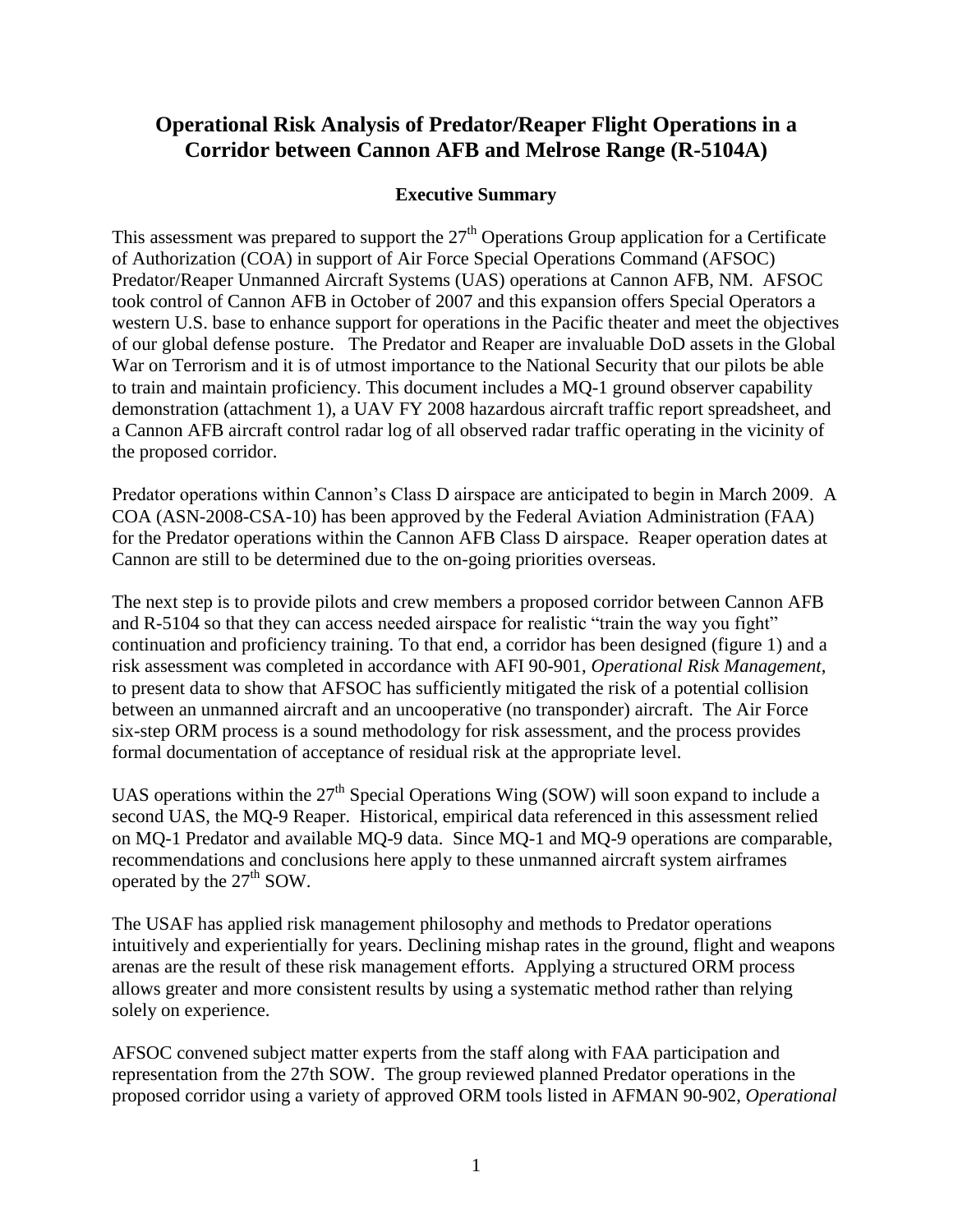# **Operational Risk Analysis of Predator/Reaper Flight Operations in a Corridor between Cannon AFB and Melrose Range (R-5104A)**

## **Executive Summary**

This assessment was prepared to support the  $27<sup>th</sup>$  Operations Group application for a Certificate of Authorization (COA) in support of Air Force Special Operations Command (AFSOC) Predator/Reaper Unmanned Aircraft Systems (UAS) operations at Cannon AFB, NM. AFSOC took control of Cannon AFB in October of 2007 and this expansion offers Special Operators a western U.S. base to enhance support for operations in the Pacific theater and meet the objectives of our global defense posture. The Predator and Reaper are invaluable DoD assets in the Global War on Terrorism and it is of utmost importance to the National Security that our pilots be able to train and maintain proficiency. This document includes a MQ-1 ground observer capability demonstration (attachment 1), a UAV FY 2008 hazardous aircraft traffic report spreadsheet, and a Cannon AFB aircraft control radar log of all observed radar traffic operating in the vicinity of the proposed corridor.

Predator operations within Cannon's Class D airspace are anticipated to begin in March 2009. A COA (ASN-2008-CSA-10) has been approved by the Federal Aviation Administration (FAA) for the Predator operations within the Cannon AFB Class D airspace. Reaper operation dates at Cannon are still to be determined due to the on-going priorities overseas.

The next step is to provide pilots and crew members a proposed corridor between Cannon AFB and R-5104 so that they can access needed airspace for realistic "train the way you fight" continuation and proficiency training. To that end, a corridor has been designed (figure 1) and a risk assessment was completed in accordance with AFI 90-901, *Operational Risk Management*, to present data to show that AFSOC has sufficiently mitigated the risk of a potential collision between an unmanned aircraft and an uncooperative (no transponder) aircraft. The Air Force six-step ORM process is a sound methodology for risk assessment, and the process provides formal documentation of acceptance of residual risk at the appropriate level.

UAS operations within the  $27<sup>th</sup>$  Special Operations Wing (SOW) will soon expand to include a second UAS, the MQ-9 Reaper. Historical, empirical data referenced in this assessment relied on MQ-1 Predator and available MQ-9 data. Since MQ-1 and MQ-9 operations are comparable, recommendations and conclusions here apply to these unmanned aircraft system airframes operated by the  $27<sup>th</sup>$  SOW.

The USAF has applied risk management philosophy and methods to Predator operations intuitively and experientially for years. Declining mishap rates in the ground, flight and weapons arenas are the result of these risk management efforts. Applying a structured ORM process allows greater and more consistent results by using a systematic method rather than relying solely on experience.

AFSOC convened subject matter experts from the staff along with FAA participation and representation from the 27th SOW. The group reviewed planned Predator operations in the proposed corridor using a variety of approved ORM tools listed in AFMAN 90-902, *Operational*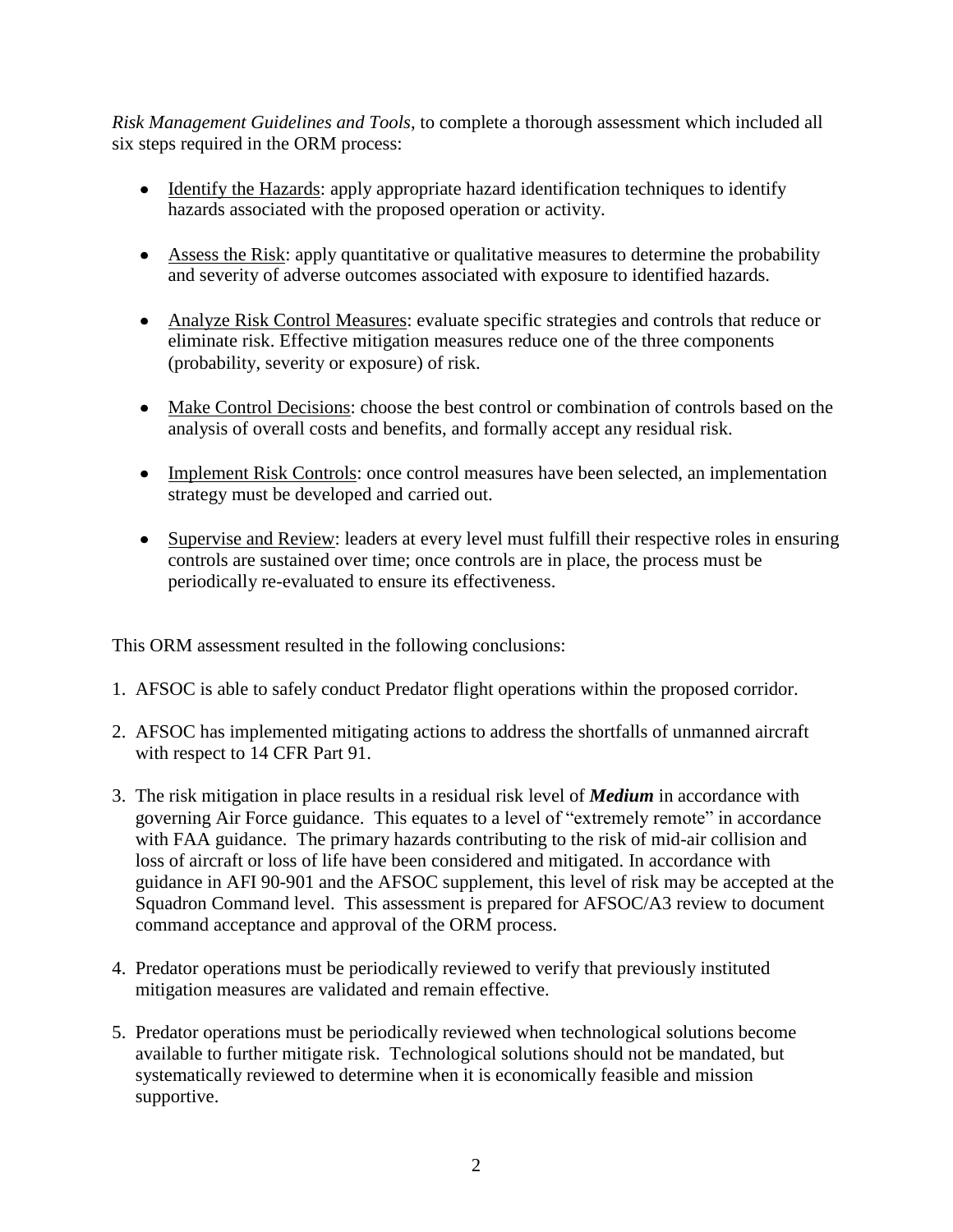*Risk Management Guidelines and Tools*, to complete a thorough assessment which included all six steps required in the ORM process:

- Identify the Hazards: apply appropriate hazard identification techniques to identify hazards associated with the proposed operation or activity.
- Assess the Risk: apply quantitative or qualitative measures to determine the probability and severity of adverse outcomes associated with exposure to identified hazards.
- Analyze Risk Control Measures: evaluate specific strategies and controls that reduce or eliminate risk. Effective mitigation measures reduce one of the three components (probability, severity or exposure) of risk.
- Make Control Decisions: choose the best control or combination of controls based on the analysis of overall costs and benefits, and formally accept any residual risk.
- Implement Risk Controls: once control measures have been selected, an implementation strategy must be developed and carried out.
- Supervise and Review: leaders at every level must fulfill their respective roles in ensuring controls are sustained over time; once controls are in place, the process must be periodically re-evaluated to ensure its effectiveness.

This ORM assessment resulted in the following conclusions:

- 1. AFSOC is able to safely conduct Predator flight operations within the proposed corridor.
- 2. AFSOC has implemented mitigating actions to address the shortfalls of unmanned aircraft with respect to 14 CFR Part 91.
- 3. The risk mitigation in place results in a residual risk level of *Medium* in accordance with governing Air Force guidance. This equates to a level of "extremely remote" in accordance with FAA guidance. The primary hazards contributing to the risk of mid-air collision and loss of aircraft or loss of life have been considered and mitigated. In accordance with guidance in AFI 90-901 and the AFSOC supplement, this level of risk may be accepted at the Squadron Command level. This assessment is prepared for AFSOC/A3 review to document command acceptance and approval of the ORM process.
- 4. Predator operations must be periodically reviewed to verify that previously instituted mitigation measures are validated and remain effective.
- 5. Predator operations must be periodically reviewed when technological solutions become available to further mitigate risk. Technological solutions should not be mandated, but systematically reviewed to determine when it is economically feasible and mission supportive.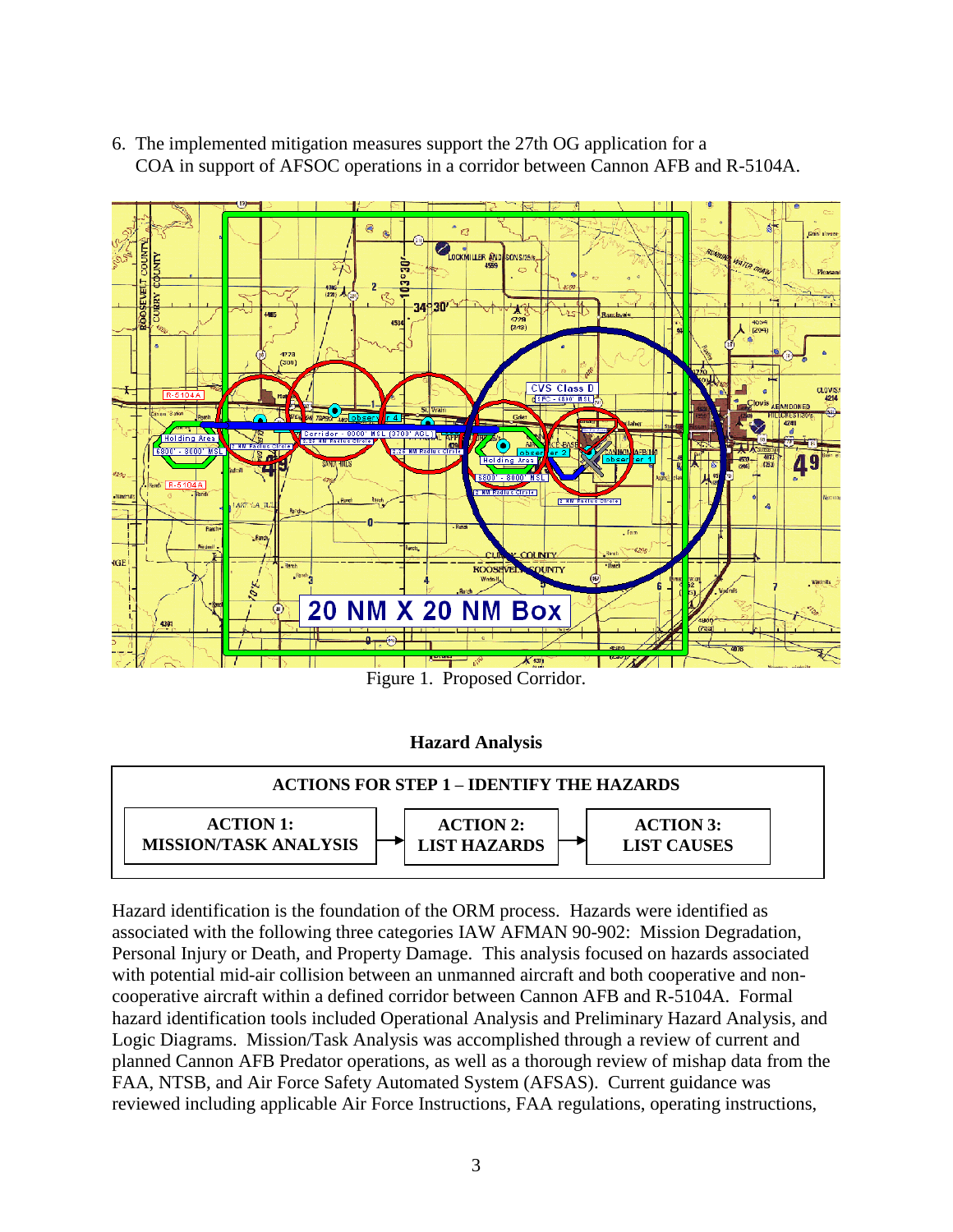6. The implemented mitigation measures support the 27th OG application for a COA in support of AFSOC operations in a corridor between Cannon AFB and R-5104A.



Figure 1. Proposed Corridor.

## **Hazard Analysis**



Hazard identification is the foundation of the ORM process. Hazards were identified as associated with the following three categories IAW AFMAN 90-902: Mission Degradation, Personal Injury or Death, and Property Damage. This analysis focused on hazards associated with potential mid-air collision between an unmanned aircraft and both cooperative and noncooperative aircraft within a defined corridor between Cannon AFB and R-5104A. Formal hazard identification tools included Operational Analysis and Preliminary Hazard Analysis, and Logic Diagrams. Mission/Task Analysis was accomplished through a review of current and planned Cannon AFB Predator operations, as well as a thorough review of mishap data from the FAA, NTSB, and Air Force Safety Automated System (AFSAS). Current guidance was reviewed including applicable Air Force Instructions, FAA regulations, operating instructions,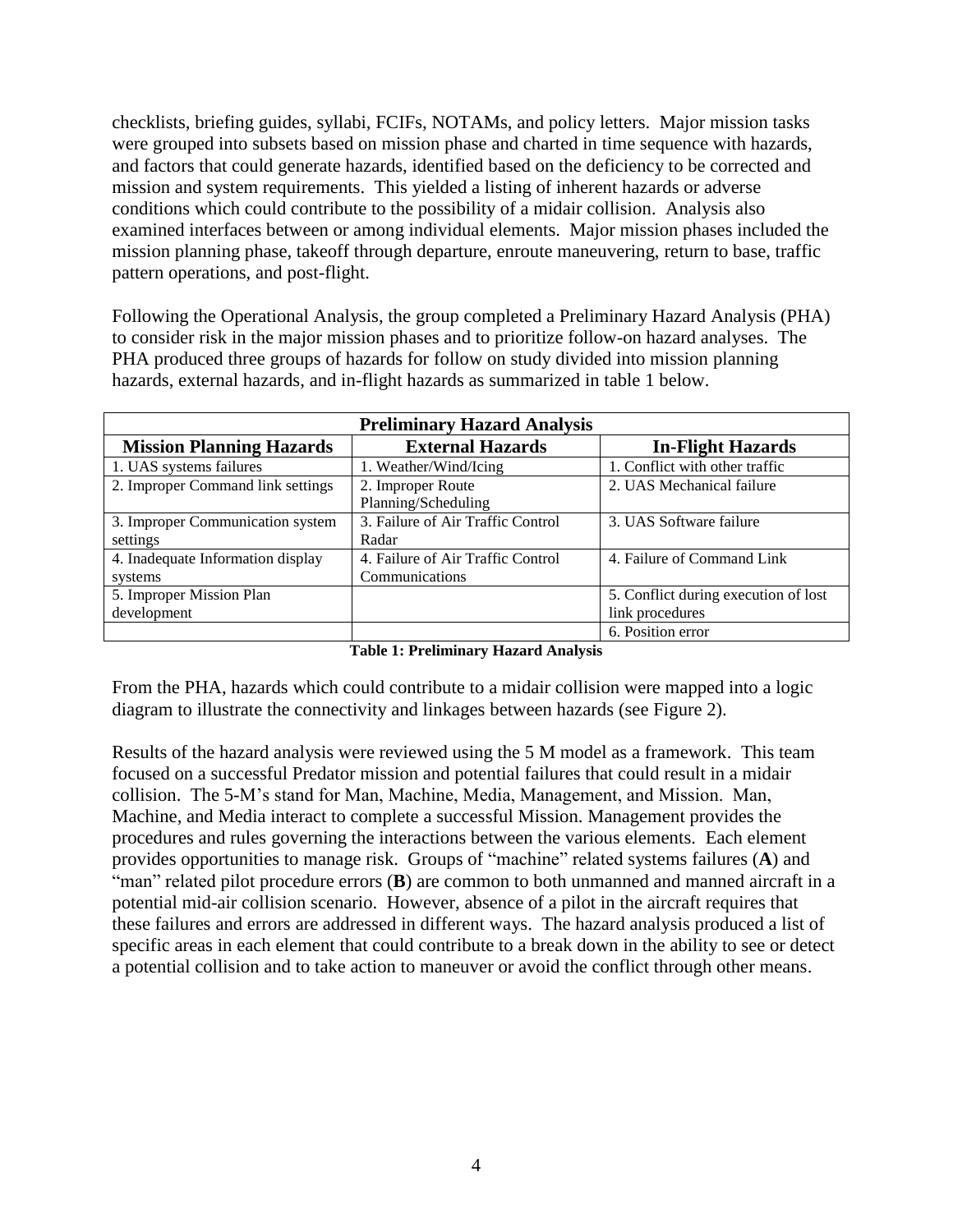checklists, briefing guides, syllabi, FCIFs, NOTAMs, and policy letters. Major mission tasks were grouped into subsets based on mission phase and charted in time sequence with hazards, and factors that could generate hazards, identified based on the deficiency to be corrected and mission and system requirements. This yielded a listing of inherent hazards or adverse conditions which could contribute to the possibility of a midair collision. Analysis also examined interfaces between or among individual elements. Major mission phases included the mission planning phase, takeoff through departure, enroute maneuvering, return to base, traffic pattern operations, and post-flight.

Following the Operational Analysis, the group completed a Preliminary Hazard Analysis (PHA) to consider risk in the major mission phases and to prioritize follow-on hazard analyses. The PHA produced three groups of hazards for follow on study divided into mission planning hazards, external hazards, and in-flight hazards as summarized in table 1 below.

| <b>Preliminary Hazard Analysis</b> |                                   |                                      |  |
|------------------------------------|-----------------------------------|--------------------------------------|--|
| <b>Mission Planning Hazards</b>    | <b>External Hazards</b>           | <b>In-Flight Hazards</b>             |  |
| 1. UAS systems failures            | 1. Weather/Wind/Icing             | 1. Conflict with other traffic       |  |
| 2. Improper Command link settings  | 2. Improper Route                 | 2. UAS Mechanical failure            |  |
|                                    | Planning/Scheduling               |                                      |  |
| 3. Improper Communication system   | 3. Failure of Air Traffic Control | 3. UAS Software failure              |  |
| settings                           | Radar                             |                                      |  |
| 4. Inadequate Information display  | 4. Failure of Air Traffic Control | 4. Failure of Command Link           |  |
| systems                            | Communications                    |                                      |  |
| 5. Improper Mission Plan           |                                   | 5. Conflict during execution of lost |  |
| development                        |                                   | link procedures                      |  |
|                                    |                                   | 6. Position error                    |  |

| <b>Table 1: Preliminary Hazard Analysis</b> |  |  |
|---------------------------------------------|--|--|
|---------------------------------------------|--|--|

From the PHA, hazards which could contribute to a midair collision were mapped into a logic diagram to illustrate the connectivity and linkages between hazards (see Figure 2).

Results of the hazard analysis were reviewed using the 5 M model as a framework. This team focused on a successful Predator mission and potential failures that could result in a midair collision. The 5-M's stand for Man, Machine, Media, Management, and Mission. Man, Machine, and Media interact to complete a successful Mission. Management provides the procedures and rules governing the interactions between the various elements. Each element provides opportunities to manage risk. Groups of "machine" related systems failures (**A**) and "man" related pilot procedure errors (**B**) are common to both unmanned and manned aircraft in a potential mid-air collision scenario. However, absence of a pilot in the aircraft requires that these failures and errors are addressed in different ways. The hazard analysis produced a list of specific areas in each element that could contribute to a break down in the ability to see or detect a potential collision and to take action to maneuver or avoid the conflict through other means.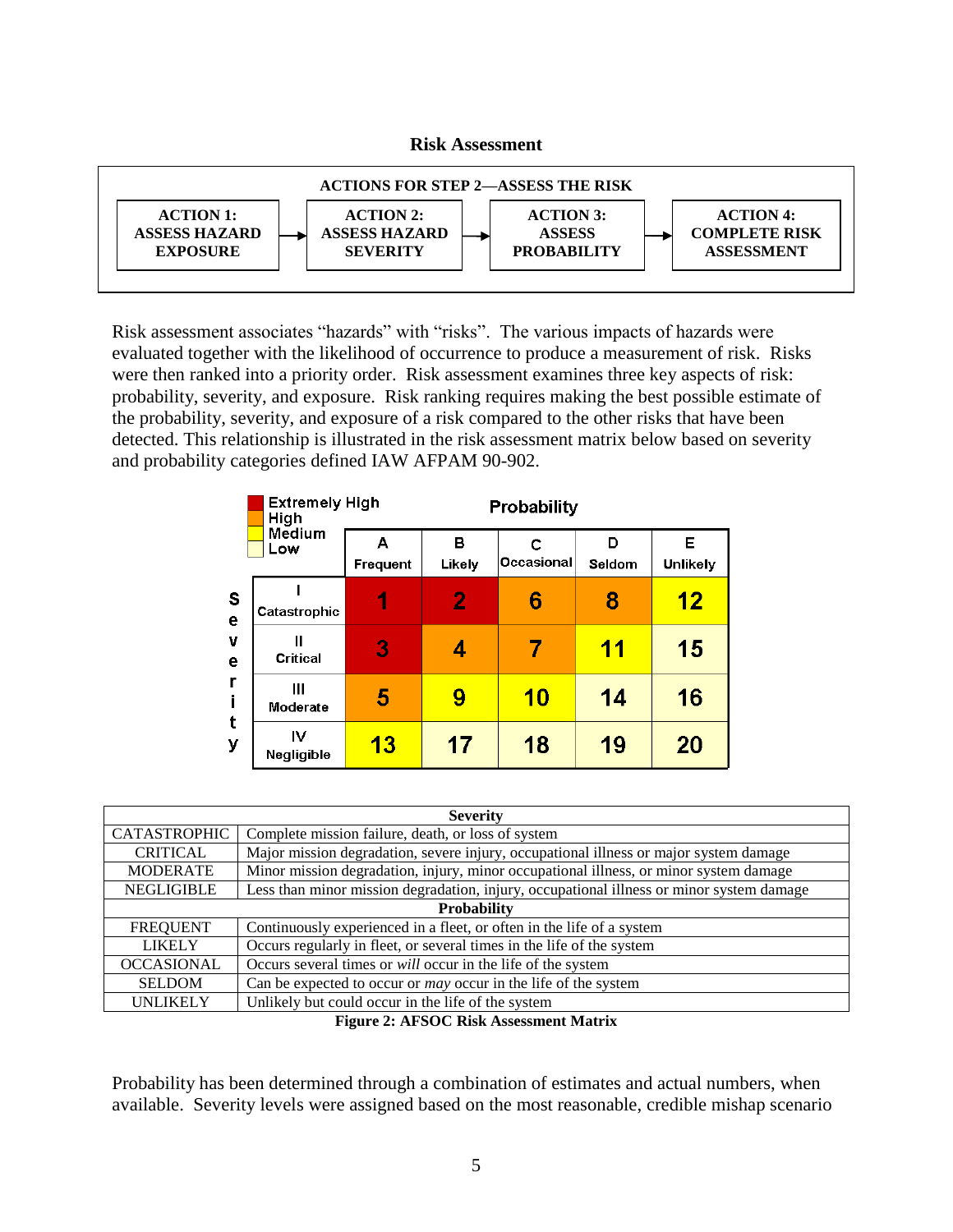### **Risk Assessment**



Risk assessment associates "hazards" with "risks". The various impacts of hazards were evaluated together with the likelihood of occurrence to produce a measurement of risk. Risks were then ranked into a priority order. Risk assessment examines three key aspects of risk: probability, severity, and exposure. Risk ranking requires making the best possible estimate of the probability, severity, and exposure of a risk compared to the other risks that have been detected. This relationship is illustrated in the risk assessment matrix below based on severity and probability categories defined IAW AFPAM 90-902.

|        | <b>Extremely High</b><br>High | Probability   |                |                 |             |               |
|--------|-------------------------------|---------------|----------------|-----------------|-------------|---------------|
|        | Medium<br>Low                 | А<br>Frequent | в<br>Likely    | c<br>Occasional | D<br>Seldom | Е<br>Unlikely |
| S<br>e | Catastrophic                  |               | $\overline{2}$ | 6               | 8           | 12            |
| v<br>е | Ш<br><b>Critical</b>          | 3             | 4              | 7               | 11          | 15            |
| r      | Ш<br>Moderate                 | 5             | 9              | <b>10</b>       | 14          | 16            |
| t<br>y | IV<br>Negligible              | <b>13</b>     | 17             | 18              | 19          | 20            |

| <b>Severity</b>     |                                                                                          |  |  |  |
|---------------------|------------------------------------------------------------------------------------------|--|--|--|
| <b>CATASTROPHIC</b> | Complete mission failure, death, or loss of system                                       |  |  |  |
| <b>CRITICAL</b>     | Major mission degradation, severe injury, occupational illness or major system damage    |  |  |  |
| <b>MODERATE</b>     | Minor mission degradation, injury, minor occupational illness, or minor system damage    |  |  |  |
| <b>NEGLIGIBLE</b>   | Less than minor mission degradation, injury, occupational illness or minor system damage |  |  |  |
| <b>Probability</b>  |                                                                                          |  |  |  |
| <b>FREQUENT</b>     | Continuously experienced in a fleet, or often in the life of a system                    |  |  |  |
| <b>LIKELY</b>       | Occurs regularly in fleet, or several times in the life of the system                    |  |  |  |
| <b>OCCASIONAL</b>   | Occurs several times or will occur in the life of the system                             |  |  |  |
| <b>SELDOM</b>       | Can be expected to occur or <i>may</i> occur in the life of the system                   |  |  |  |
| <b>UNLIKELY</b>     | Unlikely but could occur in the life of the system                                       |  |  |  |

**Figure 2: AFSOC Risk Assessment Matrix**

Probability has been determined through a combination of estimates and actual numbers, when available. Severity levels were assigned based on the most reasonable, credible mishap scenario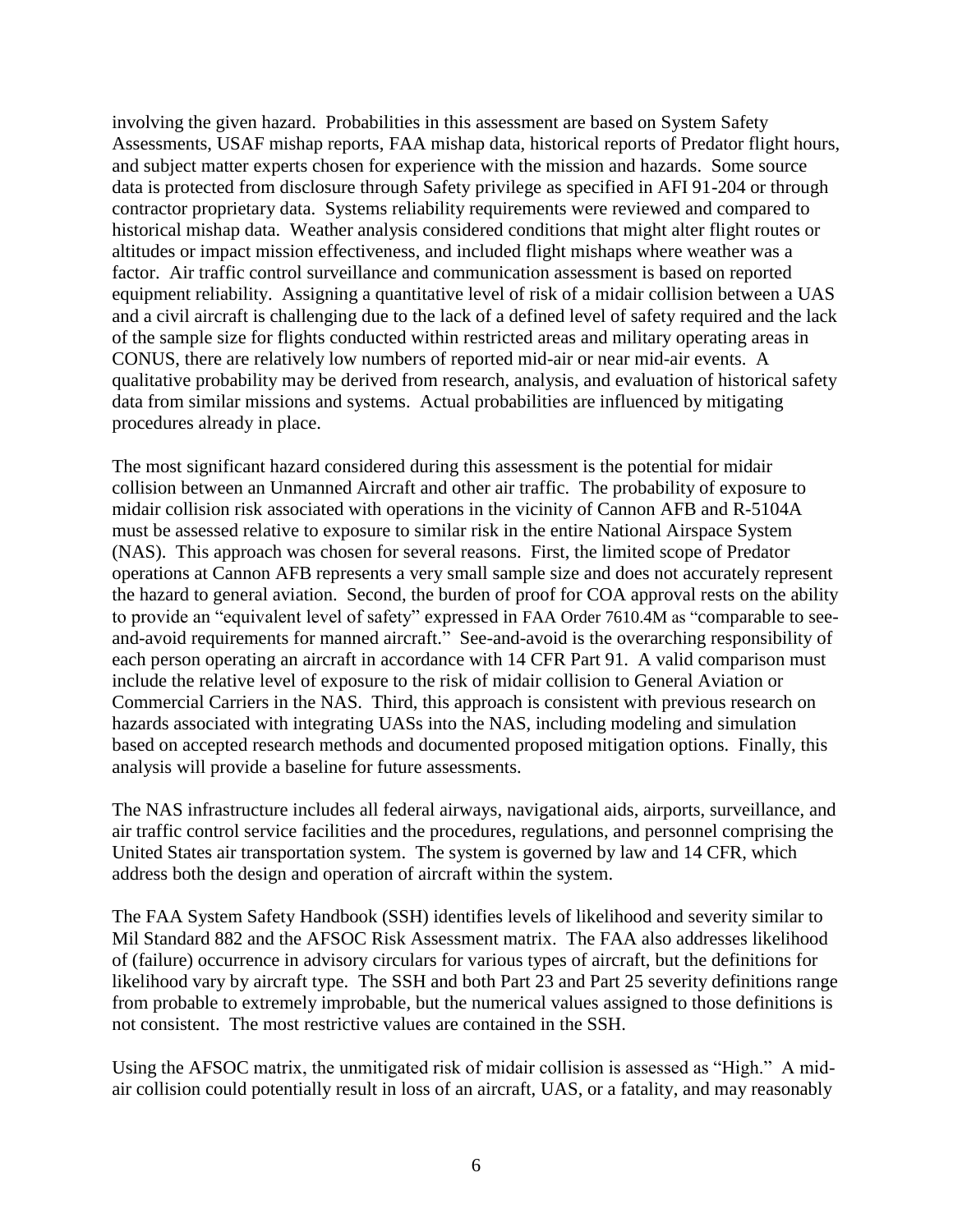involving the given hazard. Probabilities in this assessment are based on System Safety Assessments, USAF mishap reports, FAA mishap data, historical reports of Predator flight hours, and subject matter experts chosen for experience with the mission and hazards. Some source data is protected from disclosure through Safety privilege as specified in AFI 91-204 or through contractor proprietary data. Systems reliability requirements were reviewed and compared to historical mishap data. Weather analysis considered conditions that might alter flight routes or altitudes or impact mission effectiveness, and included flight mishaps where weather was a factor. Air traffic control surveillance and communication assessment is based on reported equipment reliability. Assigning a quantitative level of risk of a midair collision between a UAS and a civil aircraft is challenging due to the lack of a defined level of safety required and the lack of the sample size for flights conducted within restricted areas and military operating areas in CONUS, there are relatively low numbers of reported mid-air or near mid-air events. A qualitative probability may be derived from research, analysis, and evaluation of historical safety data from similar missions and systems. Actual probabilities are influenced by mitigating procedures already in place.

The most significant hazard considered during this assessment is the potential for midair collision between an Unmanned Aircraft and other air traffic. The probability of exposure to midair collision risk associated with operations in the vicinity of Cannon AFB and R-5104A must be assessed relative to exposure to similar risk in the entire National Airspace System (NAS). This approach was chosen for several reasons. First, the limited scope of Predator operations at Cannon AFB represents a very small sample size and does not accurately represent the hazard to general aviation. Second, the burden of proof for COA approval rests on the ability to provide an "equivalent level of safety" expressed in FAA Order 7610.4M as "comparable to seeand-avoid requirements for manned aircraft." See-and-avoid is the overarching responsibility of each person operating an aircraft in accordance with 14 CFR Part 91. A valid comparison must include the relative level of exposure to the risk of midair collision to General Aviation or Commercial Carriers in the NAS. Third, this approach is consistent with previous research on hazards associated with integrating UASs into the NAS, including modeling and simulation based on accepted research methods and documented proposed mitigation options. Finally, this analysis will provide a baseline for future assessments.

The NAS infrastructure includes all federal airways, navigational aids, airports, surveillance, and air traffic control service facilities and the procedures, regulations, and personnel comprising the United States air transportation system. The system is governed by law and 14 CFR, which address both the design and operation of aircraft within the system.

The FAA System Safety Handbook (SSH) identifies levels of likelihood and severity similar to Mil Standard 882 and the AFSOC Risk Assessment matrix. The FAA also addresses likelihood of (failure) occurrence in advisory circulars for various types of aircraft, but the definitions for likelihood vary by aircraft type. The SSH and both Part 23 and Part 25 severity definitions range from probable to extremely improbable, but the numerical values assigned to those definitions is not consistent. The most restrictive values are contained in the SSH.

Using the AFSOC matrix, the unmitigated risk of midair collision is assessed as "High." A midair collision could potentially result in loss of an aircraft, UAS, or a fatality, and may reasonably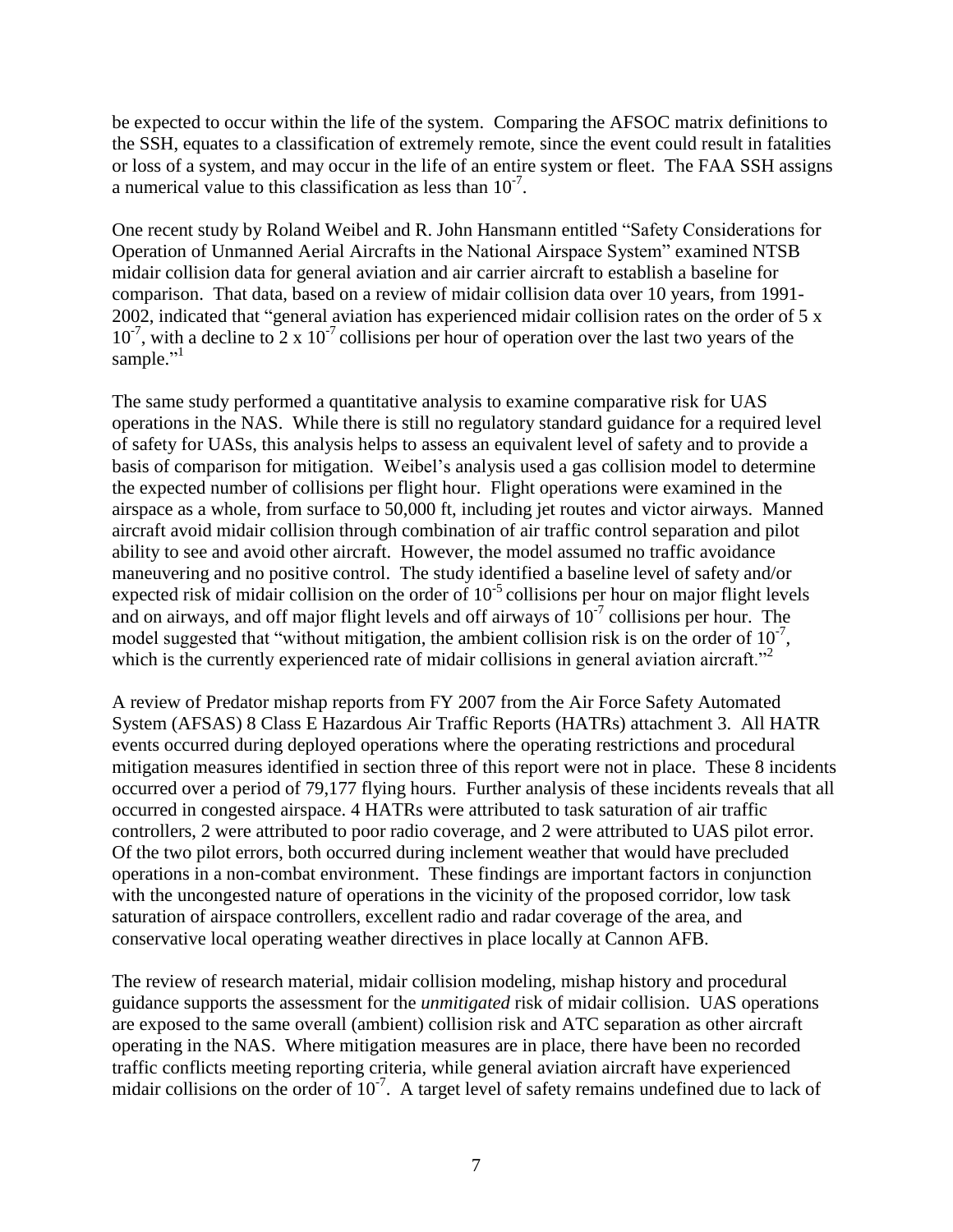be expected to occur within the life of the system. Comparing the AFSOC matrix definitions to the SSH, equates to a classification of extremely remote, since the event could result in fatalities or loss of a system, and may occur in the life of an entire system or fleet. The FAA SSH assigns a numerical value to this classification as less than  $10^{-7}$ .

One recent study by Roland Weibel and R. John Hansmann entitled "Safety Considerations for Operation of Unmanned Aerial Aircrafts in the National Airspace System" examined NTSB midair collision data for general aviation and air carrier aircraft to establish a baseline for comparison. That data, based on a review of midair collision data over 10 years, from 1991- 2002, indicated that "general aviation has experienced midair collision rates on the order of 5 x  $10^{-7}$ , with a decline to 2 x  $10^{-7}$  collisions per hour of operation over the last two years of the sample."<sup>1</sup>

The same study performed a quantitative analysis to examine comparative risk for UAS operations in the NAS. While there is still no regulatory standard guidance for a required level of safety for UASs, this analysis helps to assess an equivalent level of safety and to provide a basis of comparison for mitigation. Weibel's analysis used a gas collision model to determine the expected number of collisions per flight hour. Flight operations were examined in the airspace as a whole, from surface to 50,000 ft, including jet routes and victor airways. Manned aircraft avoid midair collision through combination of air traffic control separation and pilot ability to see and avoid other aircraft. However, the model assumed no traffic avoidance maneuvering and no positive control. The study identified a baseline level of safety and/or expected risk of midair collision on the order of  $10^{-5}$  collisions per hour on major flight levels and on airways, and off major flight levels and off airways of  $10^{-7}$  collisions per hour. The model suggested that "without mitigation, the ambient collision risk is on the order of  $10^{-7}$ , which is the currently experienced rate of midair collisions in general aviation aircraft.<sup>"2</sup>

A review of Predator mishap reports from FY 2007 from the Air Force Safety Automated System (AFSAS) 8 Class E Hazardous Air Traffic Reports (HATRs) attachment 3. All HATR events occurred during deployed operations where the operating restrictions and procedural mitigation measures identified in section three of this report were not in place. These 8 incidents occurred over a period of 79,177 flying hours. Further analysis of these incidents reveals that all occurred in congested airspace. 4 HATRs were attributed to task saturation of air traffic controllers, 2 were attributed to poor radio coverage, and 2 were attributed to UAS pilot error. Of the two pilot errors, both occurred during inclement weather that would have precluded operations in a non-combat environment. These findings are important factors in conjunction with the uncongested nature of operations in the vicinity of the proposed corridor, low task saturation of airspace controllers, excellent radio and radar coverage of the area, and conservative local operating weather directives in place locally at Cannon AFB.

The review of research material, midair collision modeling, mishap history and procedural guidance supports the assessment for the *unmitigated* risk of midair collision. UAS operations are exposed to the same overall (ambient) collision risk and ATC separation as other aircraft operating in the NAS. Where mitigation measures are in place, there have been no recorded traffic conflicts meeting reporting criteria, while general aviation aircraft have experienced midair collisions on the order of  $10^{-7}$ . A target level of safety remains undefined due to lack of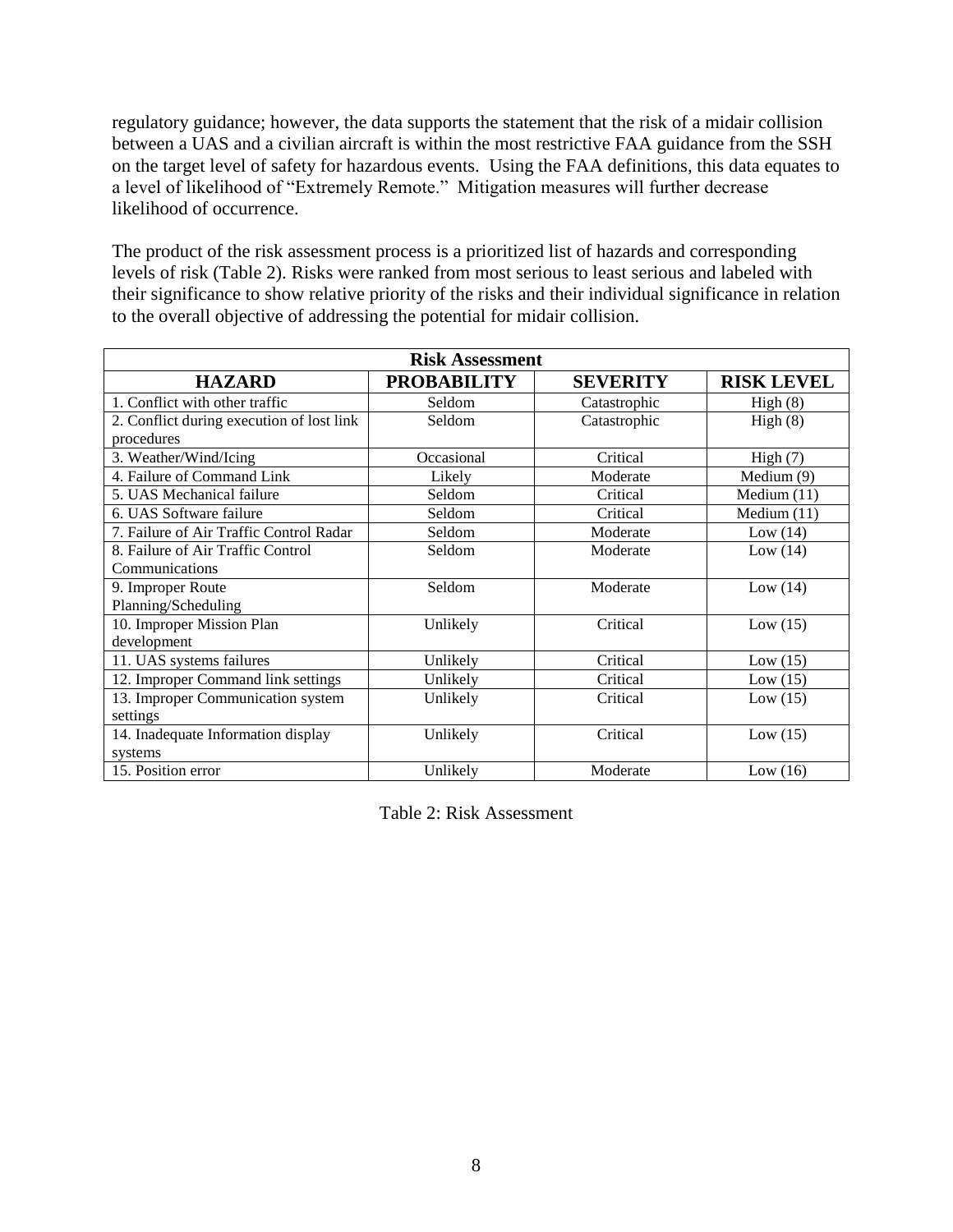regulatory guidance; however, the data supports the statement that the risk of a midair collision between a UAS and a civilian aircraft is within the most restrictive FAA guidance from the SSH on the target level of safety for hazardous events. Using the FAA definitions, this data equates to a level of likelihood of "Extremely Remote." Mitigation measures will further decrease likelihood of occurrence.

The product of the risk assessment process is a prioritized list of hazards and corresponding levels of risk (Table 2). Risks were ranked from most serious to least serious and labeled with their significance to show relative priority of the risks and their individual significance in relation to the overall objective of addressing the potential for midair collision.

| <b>Risk Assessment</b>                    |                    |                 |                   |  |
|-------------------------------------------|--------------------|-----------------|-------------------|--|
| <b>HAZARD</b>                             | <b>PROBABILITY</b> | <b>SEVERITY</b> | <b>RISK LEVEL</b> |  |
| 1. Conflict with other traffic            | Seldom             | Catastrophic    | High(8)           |  |
| 2. Conflict during execution of lost link | Seldom             | Catastrophic    | High(8)           |  |
| procedures                                |                    |                 |                   |  |
| 3. Weather/Wind/Icing                     | Occasional         | Critical        | High(7)           |  |
| 4. Failure of Command Link                | Likely             | Moderate        | Medium $(9)$      |  |
| 5. UAS Mechanical failure                 | Seldom             | Critical        | Medium $(11)$     |  |
| 6. UAS Software failure                   | Seldom             | Critical        | Medium $(11)$     |  |
| 7. Failure of Air Traffic Control Radar   | Seldom             | Moderate        | Low $(14)$        |  |
| 8. Failure of Air Traffic Control         | Seldom             | Moderate        | Low $(14)$        |  |
| Communications                            |                    |                 |                   |  |
| 9. Improper Route                         | Seldom             | Moderate        | Low $(14)$        |  |
| Planning/Scheduling                       |                    |                 |                   |  |
| 10. Improper Mission Plan                 | Unlikely           | Critical        | Low $(15)$        |  |
| development                               |                    |                 |                   |  |
| 11. UAS systems failures                  | Unlikely           | Critical        | Low $(15)$        |  |
| 12. Improper Command link settings        | Unlikely           | Critical        | Low $(15)$        |  |
| 13. Improper Communication system         | Unlikely           | Critical        | Low $(15)$        |  |
| settings                                  |                    |                 |                   |  |
| 14. Inadequate Information display        | Unlikely           | Critical        | Low $(15)$        |  |
| systems                                   |                    |                 |                   |  |
| 15. Position error                        | Unlikely           | Moderate        | Low $(16)$        |  |

Table 2: Risk Assessment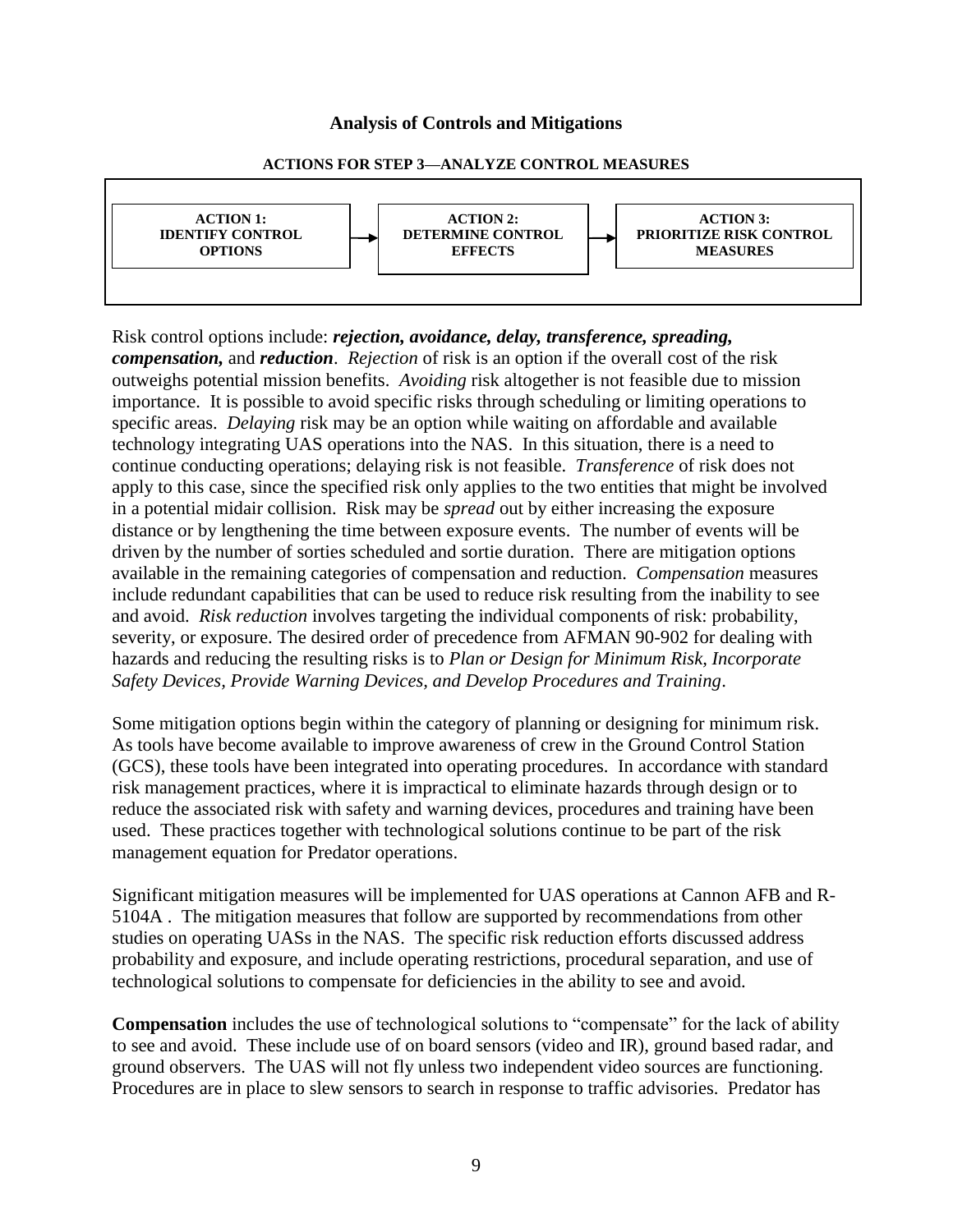### **Analysis of Controls and Mitigations**

#### **ACTIONS FOR STEP 3—ANALYZE CONTROL MEASURES**



Risk control options include: *rejection, avoidance, delay, transference, spreading, compensation,* and *reduction*. *Rejection* of risk is an option if the overall cost of the risk outweighs potential mission benefits. *Avoiding* risk altogether is not feasible due to mission importance. It is possible to avoid specific risks through scheduling or limiting operations to specific areas. *Delaying* risk may be an option while waiting on affordable and available technology integrating UAS operations into the NAS. In this situation, there is a need to continue conducting operations; delaying risk is not feasible. *Transference* of risk does not apply to this case, since the specified risk only applies to the two entities that might be involved in a potential midair collision. Risk may be *spread* out by either increasing the exposure distance or by lengthening the time between exposure events. The number of events will be driven by the number of sorties scheduled and sortie duration. There are mitigation options available in the remaining categories of compensation and reduction. *Compensation* measures include redundant capabilities that can be used to reduce risk resulting from the inability to see and avoid. *Risk reduction* involves targeting the individual components of risk: probability, severity, or exposure. The desired order of precedence from AFMAN 90-902 for dealing with hazards and reducing the resulting risks is to *Plan or Design for Minimum Risk, Incorporate Safety Devices, Provide Warning Devices, and Develop Procedures and Training*.

Some mitigation options begin within the category of planning or designing for minimum risk. As tools have become available to improve awareness of crew in the Ground Control Station (GCS), these tools have been integrated into operating procedures. In accordance with standard risk management practices, where it is impractical to eliminate hazards through design or to reduce the associated risk with safety and warning devices, procedures and training have been used. These practices together with technological solutions continue to be part of the risk management equation for Predator operations.

Significant mitigation measures will be implemented for UAS operations at Cannon AFB and R-5104A . The mitigation measures that follow are supported by recommendations from other studies on operating UASs in the NAS. The specific risk reduction efforts discussed address probability and exposure, and include operating restrictions, procedural separation, and use of technological solutions to compensate for deficiencies in the ability to see and avoid.

**Compensation** includes the use of technological solutions to "compensate" for the lack of ability to see and avoid. These include use of on board sensors (video and IR), ground based radar, and ground observers. The UAS will not fly unless two independent video sources are functioning. Procedures are in place to slew sensors to search in response to traffic advisories. Predator has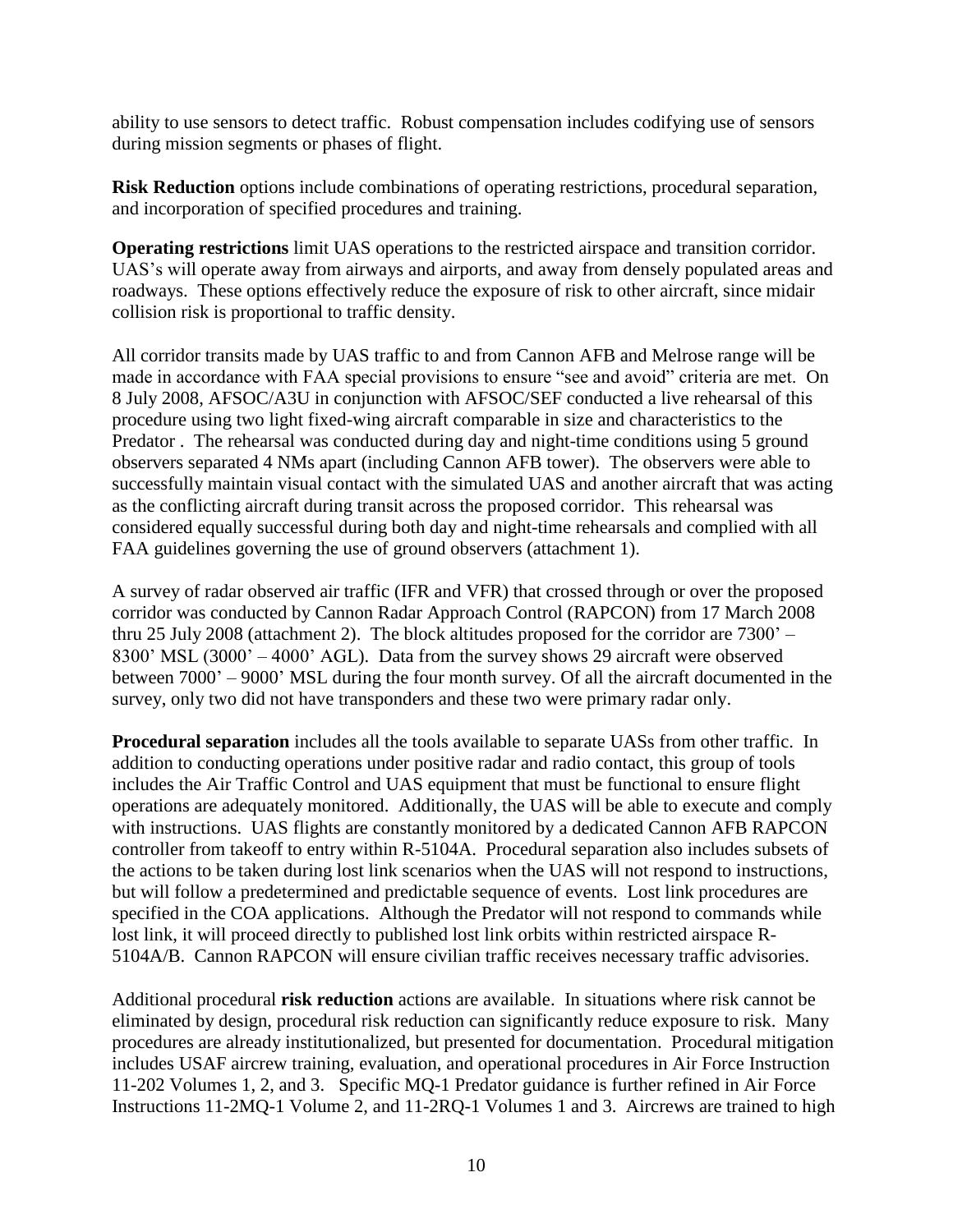ability to use sensors to detect traffic. Robust compensation includes codifying use of sensors during mission segments or phases of flight.

**Risk Reduction** options include combinations of operating restrictions, procedural separation, and incorporation of specified procedures and training.

**Operating restrictions** limit UAS operations to the restricted airspace and transition corridor. UAS's will operate away from airways and airports, and away from densely populated areas and roadways. These options effectively reduce the exposure of risk to other aircraft, since midair collision risk is proportional to traffic density.

All corridor transits made by UAS traffic to and from Cannon AFB and Melrose range will be made in accordance with FAA special provisions to ensure "see and avoid" criteria are met. On 8 July 2008, AFSOC/A3U in conjunction with AFSOC/SEF conducted a live rehearsal of this procedure using two light fixed-wing aircraft comparable in size and characteristics to the Predator . The rehearsal was conducted during day and night-time conditions using 5 ground observers separated 4 NMs apart (including Cannon AFB tower). The observers were able to successfully maintain visual contact with the simulated UAS and another aircraft that was acting as the conflicting aircraft during transit across the proposed corridor. This rehearsal was considered equally successful during both day and night-time rehearsals and complied with all FAA guidelines governing the use of ground observers (attachment 1).

A survey of radar observed air traffic (IFR and VFR) that crossed through or over the proposed corridor was conducted by Cannon Radar Approach Control (RAPCON) from 17 March 2008 thru 25 July 2008 (attachment 2). The block altitudes proposed for the corridor are 7300' – 8300' MSL (3000' – 4000' AGL). Data from the survey shows 29 aircraft were observed between 7000' – 9000' MSL during the four month survey. Of all the aircraft documented in the survey, only two did not have transponders and these two were primary radar only.

**Procedural separation** includes all the tools available to separate UASs from other traffic. In addition to conducting operations under positive radar and radio contact, this group of tools includes the Air Traffic Control and UAS equipment that must be functional to ensure flight operations are adequately monitored. Additionally, the UAS will be able to execute and comply with instructions. UAS flights are constantly monitored by a dedicated Cannon AFB RAPCON controller from takeoff to entry within R-5104A. Procedural separation also includes subsets of the actions to be taken during lost link scenarios when the UAS will not respond to instructions, but will follow a predetermined and predictable sequence of events. Lost link procedures are specified in the COA applications. Although the Predator will not respond to commands while lost link, it will proceed directly to published lost link orbits within restricted airspace R-5104A/B. Cannon RAPCON will ensure civilian traffic receives necessary traffic advisories.

Additional procedural **risk reduction** actions are available. In situations where risk cannot be eliminated by design, procedural risk reduction can significantly reduce exposure to risk. Many procedures are already institutionalized, but presented for documentation. Procedural mitigation includes USAF aircrew training, evaluation, and operational procedures in Air Force Instruction 11-202 Volumes 1, 2, and 3. Specific MQ-1 Predator guidance is further refined in Air Force Instructions 11-2MQ-1 Volume 2, and 11-2RQ-1 Volumes 1 and 3. Aircrews are trained to high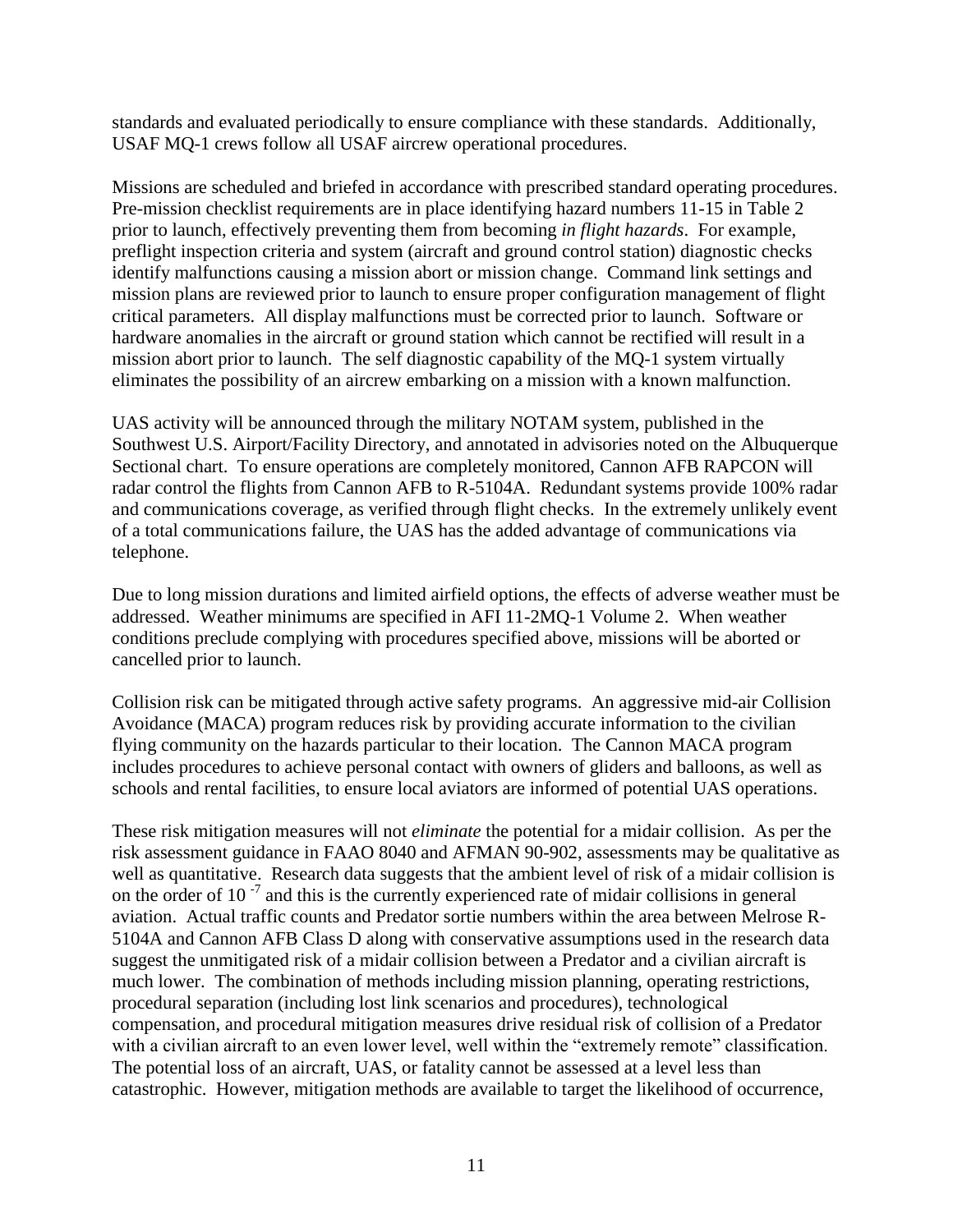standards and evaluated periodically to ensure compliance with these standards. Additionally, USAF MQ-1 crews follow all USAF aircrew operational procedures.

Missions are scheduled and briefed in accordance with prescribed standard operating procedures. Pre-mission checklist requirements are in place identifying hazard numbers 11-15 in Table 2 prior to launch, effectively preventing them from becoming *in flight hazards*. For example, preflight inspection criteria and system (aircraft and ground control station) diagnostic checks identify malfunctions causing a mission abort or mission change. Command link settings and mission plans are reviewed prior to launch to ensure proper configuration management of flight critical parameters. All display malfunctions must be corrected prior to launch. Software or hardware anomalies in the aircraft or ground station which cannot be rectified will result in a mission abort prior to launch. The self diagnostic capability of the MQ-1 system virtually eliminates the possibility of an aircrew embarking on a mission with a known malfunction.

UAS activity will be announced through the military NOTAM system, published in the Southwest U.S. Airport/Facility Directory, and annotated in advisories noted on the Albuquerque Sectional chart. To ensure operations are completely monitored, Cannon AFB RAPCON will radar control the flights from Cannon AFB to R-5104A. Redundant systems provide 100% radar and communications coverage, as verified through flight checks. In the extremely unlikely event of a total communications failure, the UAS has the added advantage of communications via telephone.

Due to long mission durations and limited airfield options, the effects of adverse weather must be addressed. Weather minimums are specified in AFI 11-2MQ-1 Volume 2. When weather conditions preclude complying with procedures specified above, missions will be aborted or cancelled prior to launch.

Collision risk can be mitigated through active safety programs. An aggressive mid-air Collision Avoidance (MACA) program reduces risk by providing accurate information to the civilian flying community on the hazards particular to their location. The Cannon MACA program includes procedures to achieve personal contact with owners of gliders and balloons, as well as schools and rental facilities, to ensure local aviators are informed of potential UAS operations.

These risk mitigation measures will not *eliminate* the potential for a midair collision. As per the risk assessment guidance in FAAO 8040 and AFMAN 90-902, assessments may be qualitative as well as quantitative. Research data suggests that the ambient level of risk of a midair collision is on the order of 10<sup>-7</sup> and this is the currently experienced rate of midair collisions in general aviation. Actual traffic counts and Predator sortie numbers within the area between Melrose R-5104A and Cannon AFB Class D along with conservative assumptions used in the research data suggest the unmitigated risk of a midair collision between a Predator and a civilian aircraft is much lower. The combination of methods including mission planning, operating restrictions, procedural separation (including lost link scenarios and procedures), technological compensation, and procedural mitigation measures drive residual risk of collision of a Predator with a civilian aircraft to an even lower level, well within the "extremely remote" classification. The potential loss of an aircraft, UAS, or fatality cannot be assessed at a level less than catastrophic. However, mitigation methods are available to target the likelihood of occurrence,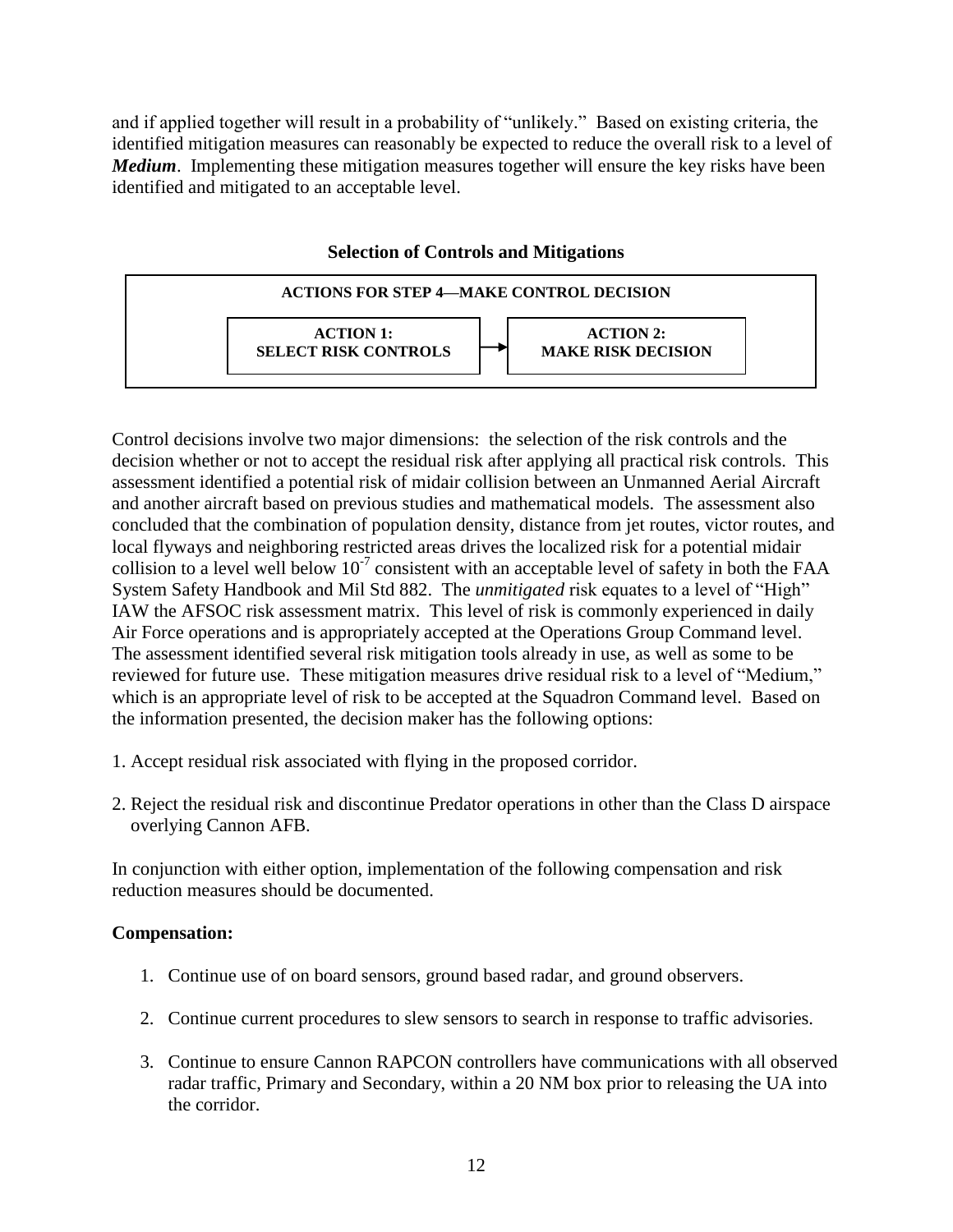and if applied together will result in a probability of "unlikely." Based on existing criteria, the identified mitigation measures can reasonably be expected to reduce the overall risk to a level of *Medium*. Implementing these mitigation measures together will ensure the key risks have been identified and mitigated to an acceptable level.

| <b>ACTIONS FOR STEP 4—MAKE CONTROL DECISION</b> |                                                 |  |                                               |  |
|-------------------------------------------------|-------------------------------------------------|--|-----------------------------------------------|--|
|                                                 | <b>ACTION 1:</b><br><b>SELECT RISK CONTROLS</b> |  | <b>ACTION 2:</b><br><b>MAKE RISK DECISION</b> |  |

**Selection of Controls and Mitigations**

Control decisions involve two major dimensions: the selection of the risk controls and the decision whether or not to accept the residual risk after applying all practical risk controls. This assessment identified a potential risk of midair collision between an Unmanned Aerial Aircraft and another aircraft based on previous studies and mathematical models. The assessment also concluded that the combination of population density, distance from jet routes, victor routes, and local flyways and neighboring restricted areas drives the localized risk for a potential midair collision to a level well below  $10^{-7}$  consistent with an acceptable level of safety in both the FAA System Safety Handbook and Mil Std 882. The *unmitigated* risk equates to a level of "High" IAW the AFSOC risk assessment matrix. This level of risk is commonly experienced in daily Air Force operations and is appropriately accepted at the Operations Group Command level. The assessment identified several risk mitigation tools already in use, as well as some to be reviewed for future use. These mitigation measures drive residual risk to a level of "Medium," which is an appropriate level of risk to be accepted at the Squadron Command level. Based on the information presented, the decision maker has the following options:

- 1. Accept residual risk associated with flying in the proposed corridor.
- 2. Reject the residual risk and discontinue Predator operations in other than the Class D airspace overlying Cannon AFB.

In conjunction with either option, implementation of the following compensation and risk reduction measures should be documented.

## **Compensation:**

- 1. Continue use of on board sensors, ground based radar, and ground observers.
- 2. Continue current procedures to slew sensors to search in response to traffic advisories.
- 3. Continue to ensure Cannon RAPCON controllers have communications with all observed radar traffic, Primary and Secondary, within a 20 NM box prior to releasing the UA into the corridor.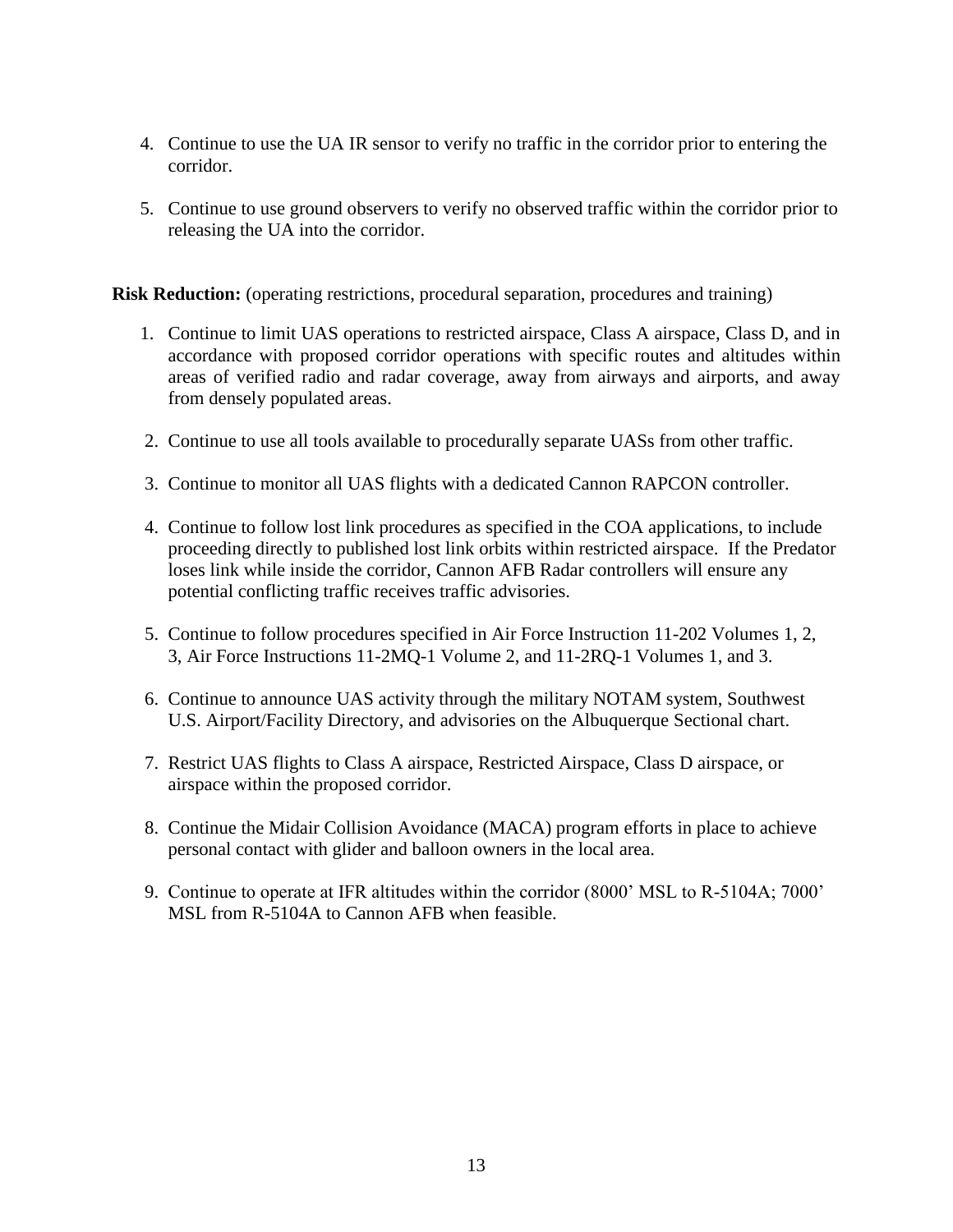- 4. Continue to use the UA IR sensor to verify no traffic in the corridor prior to entering the corridor.
- 5. Continue to use ground observers to verify no observed traffic within the corridor prior to releasing the UA into the corridor.

**Risk Reduction:** (operating restrictions, procedural separation, procedures and training)

- 1. Continue to limit UAS operations to restricted airspace, Class A airspace, Class D, and in accordance with proposed corridor operations with specific routes and altitudes within areas of verified radio and radar coverage, away from airways and airports, and away from densely populated areas.
- 2. Continue to use all tools available to procedurally separate UASs from other traffic.
- 3. Continue to monitor all UAS flights with a dedicated Cannon RAPCON controller.
- 4. Continue to follow lost link procedures as specified in the COA applications, to include proceeding directly to published lost link orbits within restricted airspace. If the Predator loses link while inside the corridor, Cannon AFB Radar controllers will ensure any potential conflicting traffic receives traffic advisories.
- 5. Continue to follow procedures specified in Air Force Instruction 11-202 Volumes 1, 2, 3, Air Force Instructions 11-2MQ-1 Volume 2, and 11-2RQ-1 Volumes 1, and 3.
- 6. Continue to announce UAS activity through the military NOTAM system, Southwest U.S. Airport/Facility Directory, and advisories on the Albuquerque Sectional chart.
- 7. Restrict UAS flights to Class A airspace, Restricted Airspace, Class D airspace, or airspace within the proposed corridor.
- 8. Continue the Midair Collision Avoidance (MACA) program efforts in place to achieve personal contact with glider and balloon owners in the local area.
- 9. Continue to operate at IFR altitudes within the corridor (8000' MSL to R-5104A; 7000' MSL from R-5104A to Cannon AFB when feasible.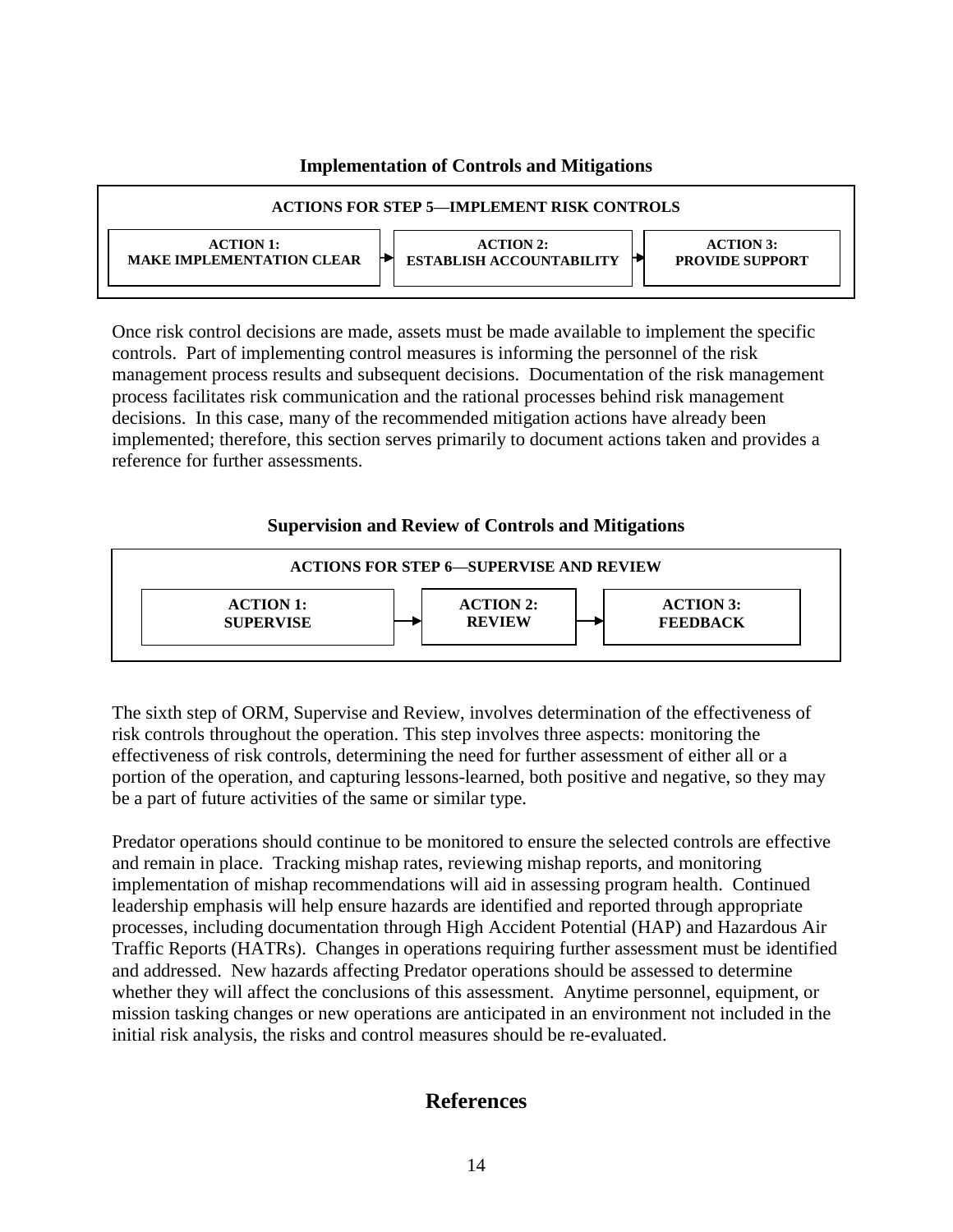### **Implementation of Controls and Mitigations**

| <b>ACTIONS FOR STEP 5—IMPLEMENT RISK CONTROLS</b>    |                                                                                                        |  |  |
|------------------------------------------------------|--------------------------------------------------------------------------------------------------------|--|--|
| <b>ACTION 1:</b><br><b>MAKE IMPLEMENTATION CLEAR</b> | <b>ACTION 2:</b><br><b>ACTION 3:</b><br><b>ESTABLISH ACCOUNTABILITY</b><br><b>PROVIDE SUPPORT</b><br>г |  |  |

Once risk control decisions are made, assets must be made available to implement the specific controls. Part of implementing control measures is informing the personnel of the risk management process results and subsequent decisions. Documentation of the risk management process facilitates risk communication and the rational processes behind risk management decisions. In this case, many of the recommended mitigation actions have already been implemented; therefore, this section serves primarily to document actions taken and provides a reference for further assessments.

## **Supervision and Review of Controls and Mitigations**



The sixth step of ORM, Supervise and Review, involves determination of the effectiveness of risk controls throughout the operation. This step involves three aspects: monitoring the effectiveness of risk controls, determining the need for further assessment of either all or a portion of the operation, and capturing lessons-learned, both positive and negative, so they may be a part of future activities of the same or similar type.

Predator operations should continue to be monitored to ensure the selected controls are effective and remain in place. Tracking mishap rates, reviewing mishap reports, and monitoring implementation of mishap recommendations will aid in assessing program health. Continued leadership emphasis will help ensure hazards are identified and reported through appropriate processes, including documentation through High Accident Potential (HAP) and Hazardous Air Traffic Reports (HATRs). Changes in operations requiring further assessment must be identified and addressed. New hazards affecting Predator operations should be assessed to determine whether they will affect the conclusions of this assessment. Anytime personnel, equipment, or mission tasking changes or new operations are anticipated in an environment not included in the initial risk analysis, the risks and control measures should be re-evaluated.

# **References**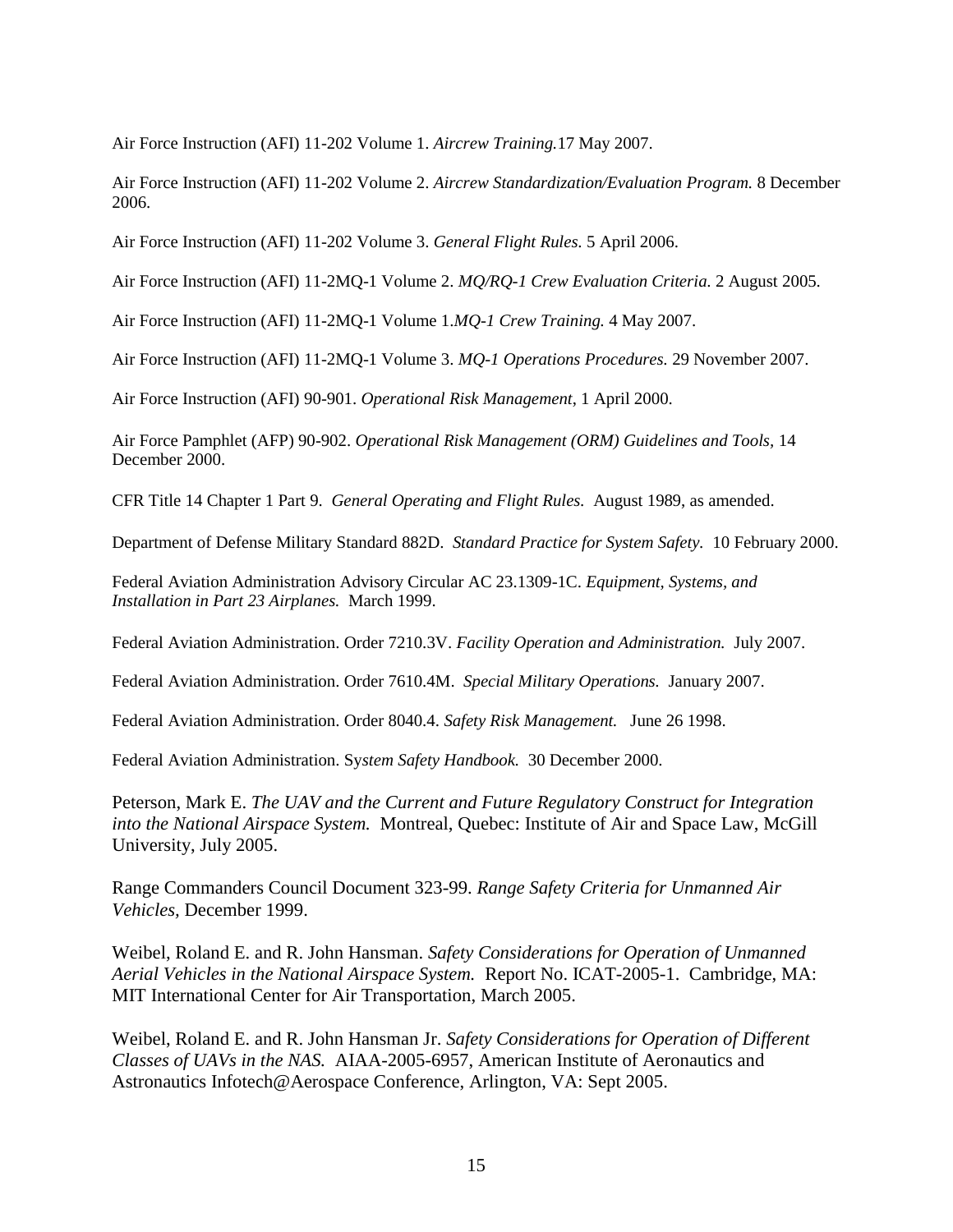Air Force Instruction (AFI) 11-202 Volume 1. *Aircrew Training.*17 May 2007.

Air Force Instruction (AFI) 11-202 Volume 2. *Aircrew Standardization/Evaluation Program.* 8 December 2006.

Air Force Instruction (AFI) 11-202 Volume 3. *General Flight Rules.* 5 April 2006.

Air Force Instruction (AFI) 11-2MQ-1 Volume 2. *MQ/RQ-1 Crew Evaluation Criteria.* 2 August 2005.

Air Force Instruction (AFI) 11-2MQ-1 Volume 1.*MQ-1 Crew Training.* 4 May 2007.

Air Force Instruction (AFI) 11-2MQ-1 Volume 3. *MQ-1 Operations Procedures.* 29 November 2007.

Air Force Instruction (AFI) 90-901. *Operational Risk Management*, 1 April 2000.

Air Force Pamphlet (AFP) 90-902. *Operational Risk Management (ORM) Guidelines and Tools,* 14 December 2000.

CFR Title 14 Chapter 1 Part 9. *General Operating and Flight Rules.* August 1989, as amended.

Department of Defense Military Standard 882D. *Standard Practice for System Safety.* 10 February 2000.

Federal Aviation Administration Advisory Circular AC 23.1309-1C. *Equipment, Systems, and Installation in Part 23 Airplanes.* March 1999.

Federal Aviation Administration. Order 7210.3V. *Facility Operation and Administration.* July 2007.

Federal Aviation Administration. Order 7610.4M. *Special Military Operations.* January 2007.

Federal Aviation Administration. Order 8040.4. *Safety Risk Management.* June 26 1998.

Federal Aviation Administration. Sy*stem Safety Handbook.* 30 December 2000.

Peterson, Mark E. *The UAV and the Current and Future Regulatory Construct for Integration into the National Airspace System.* Montreal, Quebec: Institute of Air and Space Law, McGill University, July 2005.

Range Commanders Council Document 323-99. *Range Safety Criteria for Unmanned Air Vehicles,* December 1999.

Weibel, Roland E. and R. John Hansman. *Safety Considerations for Operation of Unmanned Aerial Vehicles in the National Airspace System.* Report No. ICAT-2005-1. Cambridge, MA: MIT International Center for Air Transportation, March 2005.

Weibel, Roland E. and R. John Hansman Jr. *Safety Considerations for Operation of Different Classes of UAVs in the NAS.* AIAA-2005-6957, American Institute of Aeronautics and Astronautics Infotech@Aerospace Conference, Arlington, VA: Sept 2005.